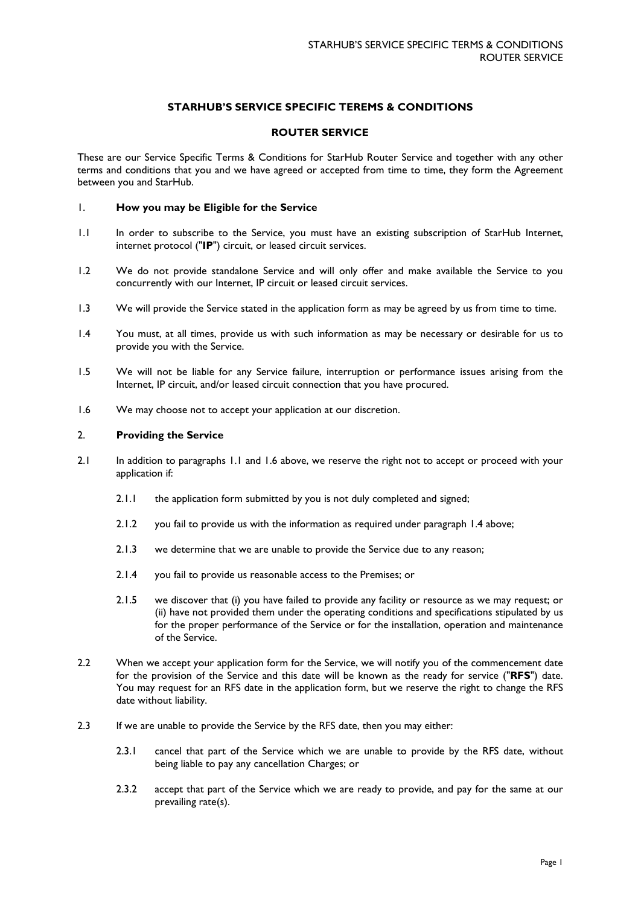# **STARHUB'S SERVICE SPECIFIC TEREMS & CONDITIONS**

## **ROUTER SERVICE**

These are our Service Specific Terms & Conditions for StarHub Router Service and together with any other terms and conditions that you and we have agreed or accepted from time to time, they form the Agreement between you and StarHub.

## 1. **How you may be Eligible for the Service**

- 1.1 In order to subscribe to the Service, you must have an existing subscription of StarHub Internet, internet protocol ("**IP**") circuit, or leased circuit services.
- 1.2 We do not provide standalone Service and will only offer and make available the Service to you concurrently with our Internet, IP circuit or leased circuit services.
- 1.3 We will provide the Service stated in the application form as may be agreed by us from time to time.
- 1.4 You must, at all times, provide us with such information as may be necessary or desirable for us to provide you with the Service.
- 1.5 We will not be liable for any Service failure, interruption or performance issues arising from the Internet, IP circuit, and/or leased circuit connection that you have procured.
- 1.6 We may choose not to accept your application at our discretion.

## 2. **Providing the Service**

- 2.1 In addition to paragraphs 1.1 and 1.6 above, we reserve the right not to accept or proceed with your application if:
	- 2.1.1 the application form submitted by you is not duly completed and signed;
	- 2.1.2 you fail to provide us with the information as required under paragraph 1.4 above;
	- 2.1.3 we determine that we are unable to provide the Service due to any reason;
	- 2.1.4 you fail to provide us reasonable access to the Premises; or
	- 2.1.5 we discover that (i) you have failed to provide any facility or resource as we may request; or (ii) have not provided them under the operating conditions and specifications stipulated by us for the proper performance of the Service or for the installation, operation and maintenance of the Service.
- 2.2 When we accept your application form for the Service, we will notify you of the commencement date for the provision of the Service and this date will be known as the ready for service ("**RFS**") date. You may request for an RFS date in the application form, but we reserve the right to change the RFS date without liability.
- 2.3 If we are unable to provide the Service by the RFS date, then you may either:
	- 2.3.1 cancel that part of the Service which we are unable to provide by the RFS date, without being liable to pay any cancellation Charges; or
	- 2.3.2 accept that part of the Service which we are ready to provide, and pay for the same at our prevailing rate(s).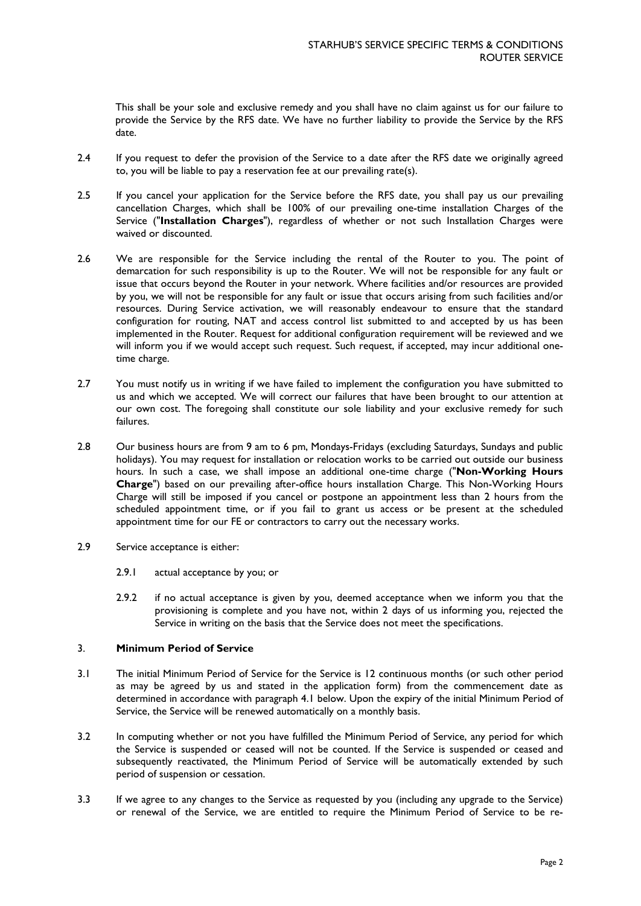This shall be your sole and exclusive remedy and you shall have no claim against us for our failure to provide the Service by the RFS date. We have no further liability to provide the Service by the RFS date.

- 2.4 If you request to defer the provision of the Service to a date after the RFS date we originally agreed to, you will be liable to pay a reservation fee at our prevailing rate(s).
- 2.5 If you cancel your application for the Service before the RFS date, you shall pay us our prevailing cancellation Charges, which shall be 100% of our prevailing one-time installation Charges of the Service ("**Installation Charges**"), regardless of whether or not such Installation Charges were waived or discounted.
- 2.6 We are responsible for the Service including the rental of the Router to you. The point of demarcation for such responsibility is up to the Router. We will not be responsible for any fault or issue that occurs beyond the Router in your network. Where facilities and/or resources are provided by you, we will not be responsible for any fault or issue that occurs arising from such facilities and/or resources. During Service activation, we will reasonably endeavour to ensure that the standard configuration for routing, NAT and access control list submitted to and accepted by us has been implemented in the Router. Request for additional configuration requirement will be reviewed and we will inform you if we would accept such request. Such request, if accepted, may incur additional onetime charge.
- 2.7 You must notify us in writing if we have failed to implement the configuration you have submitted to us and which we accepted. We will correct our failures that have been brought to our attention at our own cost. The foregoing shall constitute our sole liability and your exclusive remedy for such failures.
- 2.8 Our business hours are from 9 am to 6 pm, Mondays-Fridays (excluding Saturdays, Sundays and public holidays). You may request for installation or relocation works to be carried out outside our business hours. In such a case, we shall impose an additional one-time charge ("**Non-Working Hours Charge**") based on our prevailing after-office hours installation Charge. This Non-Working Hours Charge will still be imposed if you cancel or postpone an appointment less than 2 hours from the scheduled appointment time, or if you fail to grant us access or be present at the scheduled appointment time for our FE or contractors to carry out the necessary works.
- 2.9 Service acceptance is either:
	- 2.9.1 actual acceptance by you; or
	- 2.9.2 if no actual acceptance is given by you, deemed acceptance when we inform you that the provisioning is complete and you have not, within 2 days of us informing you, rejected the Service in writing on the basis that the Service does not meet the specifications.

## 3. **Minimum Period of Service**

- 3.1 The initial Minimum Period of Service for the Service is 12 continuous months (or such other period as may be agreed by us and stated in the application form) from the commencement date as determined in accordance with paragraph 4.1 below. Upon the expiry of the initial Minimum Period of Service, the Service will be renewed automatically on a monthly basis.
- 3.2 In computing whether or not you have fulfilled the Minimum Period of Service, any period for which the Service is suspended or ceased will not be counted. If the Service is suspended or ceased and subsequently reactivated, the Minimum Period of Service will be automatically extended by such period of suspension or cessation.
- 3.3 If we agree to any changes to the Service as requested by you (including any upgrade to the Service) or renewal of the Service, we are entitled to require the Minimum Period of Service to be re-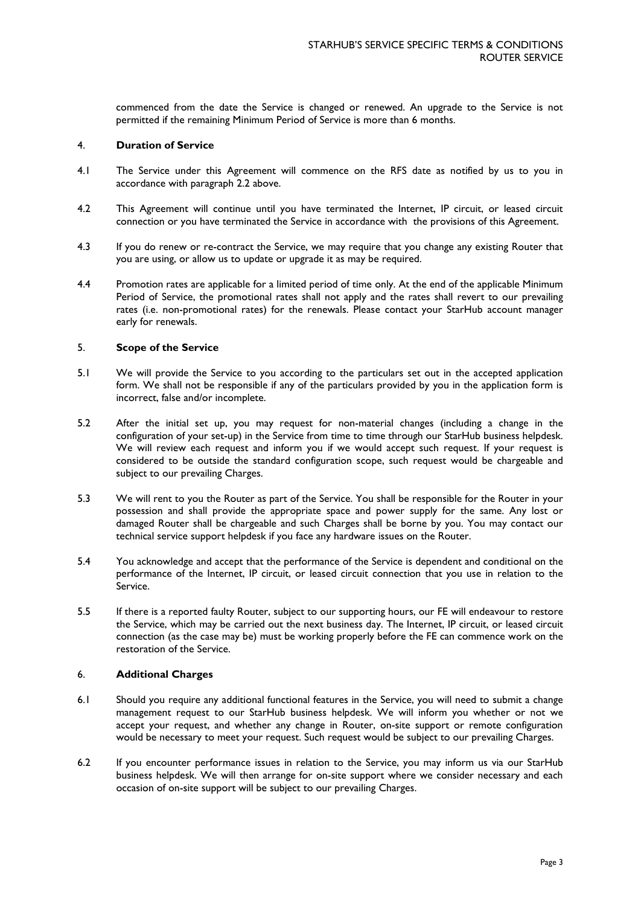commenced from the date the Service is changed or renewed. An upgrade to the Service is not permitted if the remaining Minimum Period of Service is more than 6 months.

### 4. **Duration of Service**

- 4.1 The Service under this Agreement will commence on the RFS date as notified by us to you in accordance with paragraph 2.2 above.
- 4.2 This Agreement will continue until you have terminated the Internet, IP circuit, or leased circuit connection or you have terminated the Service in accordance with the provisions of this Agreement.
- 4.3 If you do renew or re-contract the Service, we may require that you change any existing Router that you are using, or allow us to update or upgrade it as may be required.
- 4.4 Promotion rates are applicable for a limited period of time only. At the end of the applicable Minimum Period of Service, the promotional rates shall not apply and the rates shall revert to our prevailing rates (i.e. non-promotional rates) for the renewals. Please contact your StarHub account manager early for renewals.

### 5. **Scope of the Service**

- 5.1 We will provide the Service to you according to the particulars set out in the accepted application form. We shall not be responsible if any of the particulars provided by you in the application form is incorrect, false and/or incomplete.
- 5.2 After the initial set up, you may request for non-material changes (including a change in the configuration of your set-up) in the Service from time to time through our StarHub business helpdesk. We will review each request and inform you if we would accept such request. If your request is considered to be outside the standard configuration scope, such request would be chargeable and subject to our prevailing Charges.
- 5.3 We will rent to you the Router as part of the Service. You shall be responsible for the Router in your possession and shall provide the appropriate space and power supply for the same. Any lost or damaged Router shall be chargeable and such Charges shall be borne by you. You may contact our technical service support helpdesk if you face any hardware issues on the Router.
- 5.4 You acknowledge and accept that the performance of the Service is dependent and conditional on the performance of the Internet, IP circuit, or leased circuit connection that you use in relation to the Service.
- 5.5 If there is a reported faulty Router, subject to our supporting hours, our FE will endeavour to restore the Service, which may be carried out the next business day. The Internet, IP circuit, or leased circuit connection (as the case may be) must be working properly before the FE can commence work on the restoration of the Service.

### 6. **Additional Charges**

- 6.1 Should you require any additional functional features in the Service, you will need to submit a change management request to our StarHub business helpdesk. We will inform you whether or not we accept your request, and whether any change in Router, on-site support or remote configuration would be necessary to meet your request. Such request would be subject to our prevailing Charges.
- 6.2 If you encounter performance issues in relation to the Service, you may inform us via our StarHub business helpdesk. We will then arrange for on-site support where we consider necessary and each occasion of on-site support will be subject to our prevailing Charges.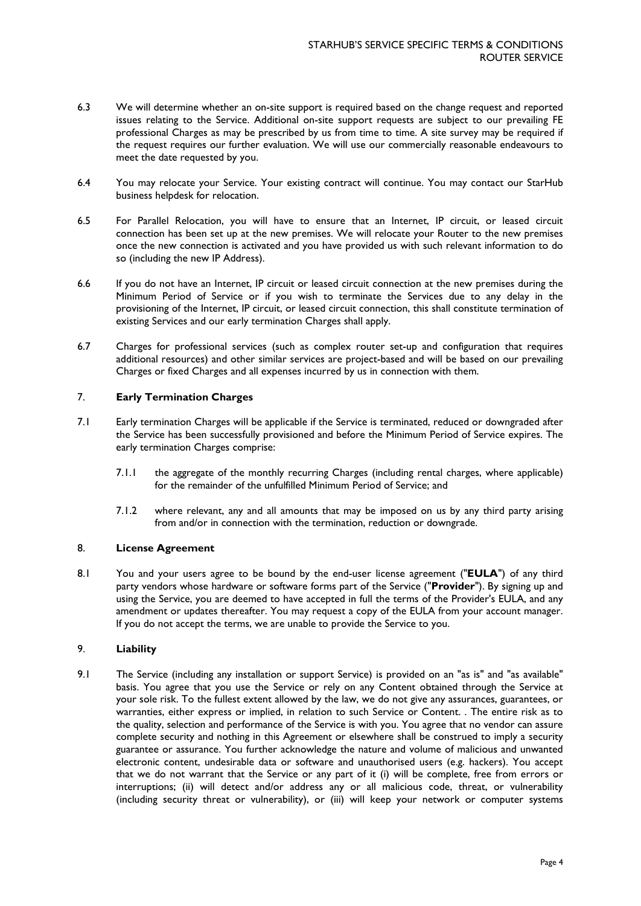- 6.3 We will determine whether an on-site support is required based on the change request and reported issues relating to the Service. Additional on-site support requests are subject to our prevailing FE professional Charges as may be prescribed by us from time to time. A site survey may be required if the request requires our further evaluation. We will use our commercially reasonable endeavours to meet the date requested by you.
- 6.4 You may relocate your Service. Your existing contract will continue. You may contact our StarHub business helpdesk for relocation.
- 6.5 For Parallel Relocation, you will have to ensure that an Internet, IP circuit, or leased circuit connection has been set up at the new premises. We will relocate your Router to the new premises once the new connection is activated and you have provided us with such relevant information to do so (including the new IP Address).
- 6.6 If you do not have an Internet, IP circuit or leased circuit connection at the new premises during the Minimum Period of Service or if you wish to terminate the Services due to any delay in the provisioning of the Internet, IP circuit, or leased circuit connection, this shall constitute termination of existing Services and our early termination Charges shall apply.
- 6.7 Charges for professional services (such as complex router set-up and configuration that requires additional resources) and other similar services are project-based and will be based on our prevailing Charges or fixed Charges and all expenses incurred by us in connection with them.

## 7. **Early Termination Charges**

- 7.1 Early termination Charges will be applicable if the Service is terminated, reduced or downgraded after the Service has been successfully provisioned and before the Minimum Period of Service expires. The early termination Charges comprise:
	- 7.1.1 the aggregate of the monthly recurring Charges (including rental charges, where applicable) for the remainder of the unfulfilled Minimum Period of Service; and
	- 7.1.2 where relevant, any and all amounts that may be imposed on us by any third party arising from and/or in connection with the termination, reduction or downgrade.

## 8. **License Agreement**

8.1 You and your users agree to be bound by the end-user license agreement ("**EULA**") of any third party vendors whose hardware or software forms part of the Service ("**Provider**"). By signing up and using the Service, you are deemed to have accepted in full the terms of the Provider's EULA, and any amendment or updates thereafter. You may request a copy of the EULA from your account manager. If you do not accept the terms, we are unable to provide the Service to you.

### 9. **Liability**

9.1 The Service (including any installation or support Service) is provided on an "as is" and "as available" basis. You agree that you use the Service or rely on any Content obtained through the Service at your sole risk. To the fullest extent allowed by the law, we do not give any assurances, guarantees, or warranties, either express or implied, in relation to such Service or Content. . The entire risk as to the quality, selection and performance of the Service is with you. You agree that no vendor can assure complete security and nothing in this Agreement or elsewhere shall be construed to imply a security guarantee or assurance. You further acknowledge the nature and volume of malicious and unwanted electronic content, undesirable data or software and unauthorised users (e.g. hackers). You accept that we do not warrant that the Service or any part of it (i) will be complete, free from errors or interruptions; (ii) will detect and/or address any or all malicious code, threat, or vulnerability (including security threat or vulnerability), or (iii) will keep your network or computer systems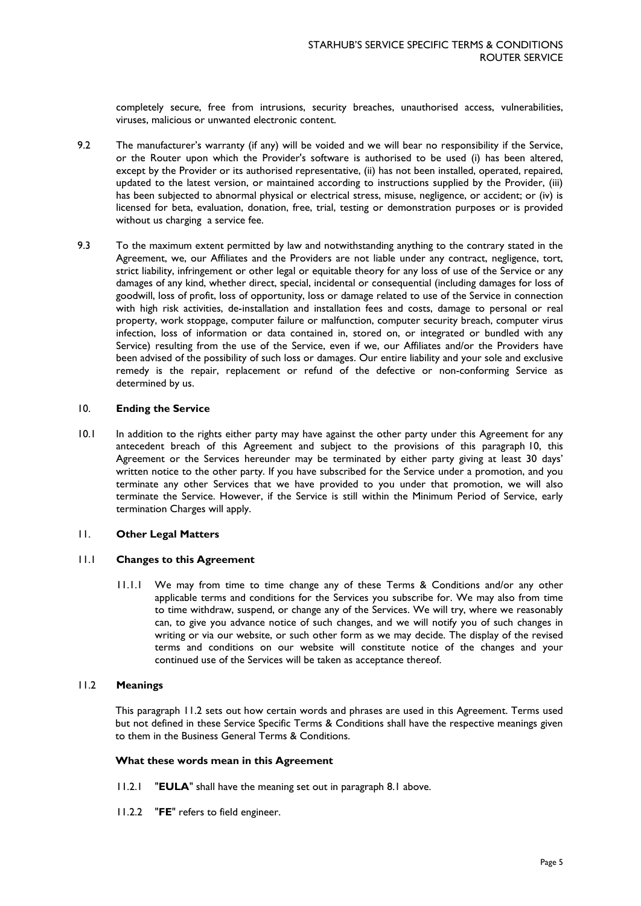completely secure, free from intrusions, security breaches, unauthorised access, vulnerabilities, viruses, malicious or unwanted electronic content.

- 9.2 The manufacturer's warranty (if any) will be voided and we will bear no responsibility if the Service, or the Router upon which the Provider's software is authorised to be used (i) has been altered, except by the Provider or its authorised representative, (ii) has not been installed, operated, repaired, updated to the latest version, or maintained according to instructions supplied by the Provider, (iii) has been subjected to abnormal physical or electrical stress, misuse, negligence, or accident; or (iv) is licensed for beta, evaluation, donation, free, trial, testing or demonstration purposes or is provided without us charging a service fee.
- 9.3 To the maximum extent permitted by law and notwithstanding anything to the contrary stated in the Agreement, we, our Affiliates and the Providers are not liable under any contract, negligence, tort, strict liability, infringement or other legal or equitable theory for any loss of use of the Service or any damages of any kind, whether direct, special, incidental or consequential (including damages for loss of goodwill, loss of profit, loss of opportunity, loss or damage related to use of the Service in connection with high risk activities, de-installation and installation fees and costs, damage to personal or real property, work stoppage, computer failure or malfunction, computer security breach, computer virus infection, loss of information or data contained in, stored on, or integrated or bundled with any Service) resulting from the use of the Service, even if we, our Affiliates and/or the Providers have been advised of the possibility of such loss or damages. Our entire liability and your sole and exclusive remedy is the repair, replacement or refund of the defective or non-conforming Service as determined by us.

### 10. **Ending the Service**

10.1 In addition to the rights either party may have against the other party under this Agreement for any antecedent breach of this Agreement and subject to the provisions of this paragraph 10, this Agreement or the Services hereunder may be terminated by either party giving at least 30 days' written notice to the other party. If you have subscribed for the Service under a promotion, and you terminate any other Services that we have provided to you under that promotion, we will also terminate the Service. However, if the Service is still within the Minimum Period of Service, early termination Charges will apply.

#### 11. **Other Legal Matters**

### 11.1 **Changes to this Agreement**

11.1.1 We may from time to time change any of these Terms & Conditions and/or any other applicable terms and conditions for the Services you subscribe for. We may also from time to time withdraw, suspend, or change any of the Services. We will try, where we reasonably can, to give you advance notice of such changes, and we will notify you of such changes in writing or via our website, or such other form as we may decide. The display of the revised terms and conditions on our website will constitute notice of the changes and your continued use of the Services will be taken as acceptance thereof.

#### 11.2 **Meanings**

This paragraph 11.2 sets out how certain words and phrases are used in this Agreement. Terms used but not defined in these Service Specific Terms & Conditions shall have the respective meanings given to them in the Business General Terms & Conditions.

### **What these words mean in this Agreement**

- 11.2.1 "**EULA**" shall have the meaning set out in paragraph 8.1 above.
- 11.2.2 "**FE**" refers to field engineer.